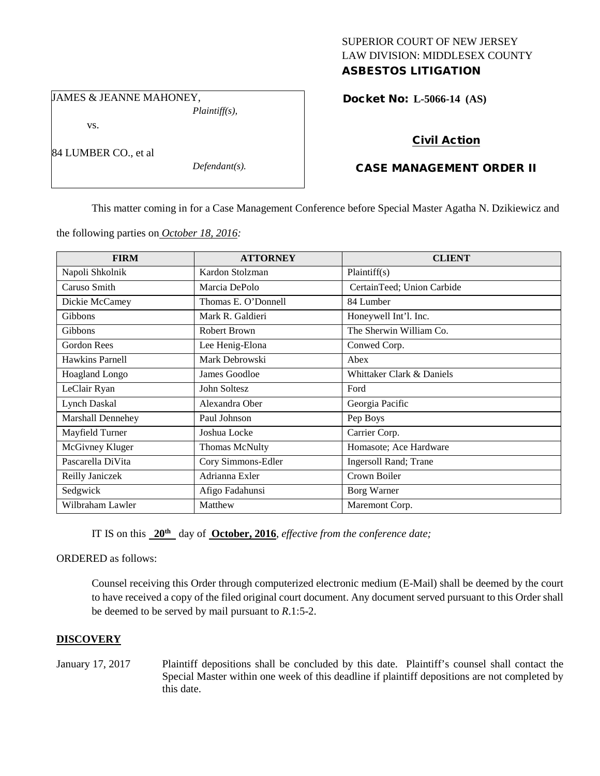## SUPERIOR COURT OF NEW JERSEY LAW DIVISION: MIDDLESEX COUNTY ASBESTOS LITIGATION

JAMES & JEANNE MAHONEY,

*Plaintiff(s),*

Docket No: **L-5066-14 (AS)** 

vs.

84 LUMBER CO., et al

*Defendant(s).*

# Civil Action

# CASE MANAGEMENT ORDER II

This matter coming in for a Case Management Conference before Special Master Agatha N. Dzikiewicz and

the following parties on *October 18, 2016:*

| <b>FIRM</b>              | <b>ATTORNEY</b>       | <b>CLIENT</b>              |
|--------------------------|-----------------------|----------------------------|
| Napoli Shkolnik          | Kardon Stolzman       | Plaintiff(s)               |
| Caruso Smith             | Marcia DePolo         | CertainTeed; Union Carbide |
| Dickie McCamey           | Thomas E. O'Donnell   | 84 Lumber                  |
| <b>Gibbons</b>           | Mark R. Galdieri      | Honeywell Int'l. Inc.      |
| Gibbons                  | Robert Brown          | The Sherwin William Co.    |
| Gordon Rees              | Lee Henig-Elona       | Conwed Corp.               |
| <b>Hawkins Parnell</b>   | Mark Debrowski        | Abex                       |
| Hoagland Longo           | James Goodloe         | Whittaker Clark & Daniels  |
| LeClair Ryan             | John Soltesz          | Ford                       |
| Lynch Daskal             | Alexandra Ober        | Georgia Pacific            |
| <b>Marshall Dennehey</b> | Paul Johnson          | Pep Boys                   |
| Mayfield Turner          | Joshua Locke          | Carrier Corp.              |
| McGivney Kluger          | <b>Thomas McNulty</b> | Homasote; Ace Hardware     |
| Pascarella DiVita        | Cory Simmons-Edler    | Ingersoll Rand; Trane      |
| Reilly Janiczek          | Adrianna Exler        | Crown Boiler               |
| Sedgwick                 | Afigo Fadahunsi       | Borg Warner                |
| Wilbraham Lawler         | Matthew               | Maremont Corp.             |

IT IS on this **20th** day of **October, 2016**, *effective from the conference date;*

ORDERED as follows:

Counsel receiving this Order through computerized electronic medium (E-Mail) shall be deemed by the court to have received a copy of the filed original court document. Any document served pursuant to this Order shall be deemed to be served by mail pursuant to *R*.1:5-2.

## **DISCOVERY**

January 17, 2017 Plaintiff depositions shall be concluded by this date. Plaintiff's counsel shall contact the Special Master within one week of this deadline if plaintiff depositions are not completed by this date.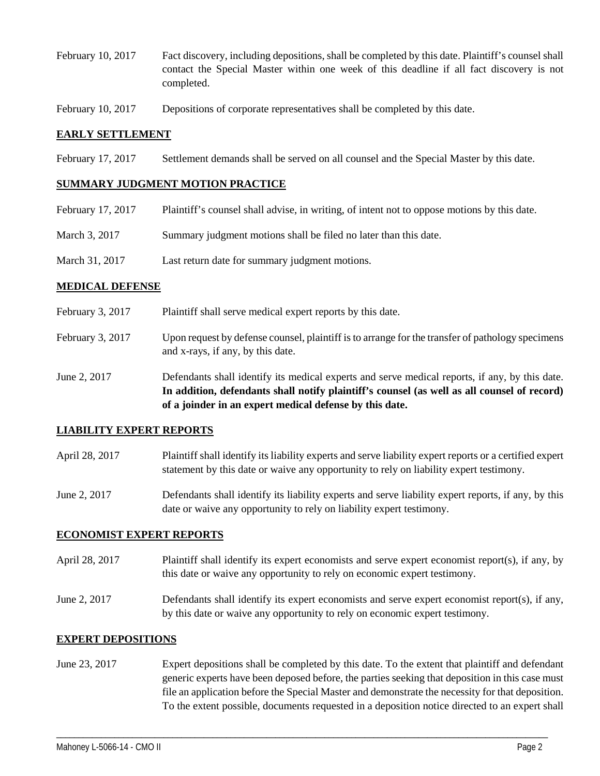- February 10, 2017 Fact discovery, including depositions, shall be completed by this date. Plaintiff's counsel shall contact the Special Master within one week of this deadline if all fact discovery is not completed.
- February 10, 2017 Depositions of corporate representatives shall be completed by this date.

### **EARLY SETTLEMENT**

February 17, 2017 Settlement demands shall be served on all counsel and the Special Master by this date.

#### **SUMMARY JUDGMENT MOTION PRACTICE**

| February 17, 2017 | Plaintiff's counsel shall advise, in writing, of intent not to oppose motions by this date. |
|-------------------|---------------------------------------------------------------------------------------------|
| March 3, 2017     | Summary judgment motions shall be filed no later than this date.                            |
| March 31, 2017    | Last return date for summary judgment motions.                                              |

#### **MEDICAL DEFENSE**

- February 3, 2017 Plaintiff shall serve medical expert reports by this date.
- February 3, 2017 Upon request by defense counsel, plaintiff is to arrange for the transfer of pathology specimens and x-rays, if any, by this date.
- June 2, 2017 Defendants shall identify its medical experts and serve medical reports, if any, by this date. **In addition, defendants shall notify plaintiff's counsel (as well as all counsel of record) of a joinder in an expert medical defense by this date.**

#### **LIABILITY EXPERT REPORTS**

- April 28, 2017 Plaintiff shall identify its liability experts and serve liability expert reports or a certified expert statement by this date or waive any opportunity to rely on liability expert testimony.
- June 2, 2017 Defendants shall identify its liability experts and serve liability expert reports, if any, by this date or waive any opportunity to rely on liability expert testimony.

### **ECONOMIST EXPERT REPORTS**

- April 28, 2017 Plaintiff shall identify its expert economists and serve expert economist report(s), if any, by this date or waive any opportunity to rely on economic expert testimony.
- June 2, 2017 Defendants shall identify its expert economists and serve expert economist report(s), if any, by this date or waive any opportunity to rely on economic expert testimony.

### **EXPERT DEPOSITIONS**

June 23, 2017 Expert depositions shall be completed by this date. To the extent that plaintiff and defendant generic experts have been deposed before, the parties seeking that deposition in this case must file an application before the Special Master and demonstrate the necessity for that deposition. To the extent possible, documents requested in a deposition notice directed to an expert shall

\_\_\_\_\_\_\_\_\_\_\_\_\_\_\_\_\_\_\_\_\_\_\_\_\_\_\_\_\_\_\_\_\_\_\_\_\_\_\_\_\_\_\_\_\_\_\_\_\_\_\_\_\_\_\_\_\_\_\_\_\_\_\_\_\_\_\_\_\_\_\_\_\_\_\_\_\_\_\_\_\_\_\_\_\_\_\_\_\_\_\_\_\_\_\_\_\_\_\_\_\_\_\_\_\_\_\_\_\_\_